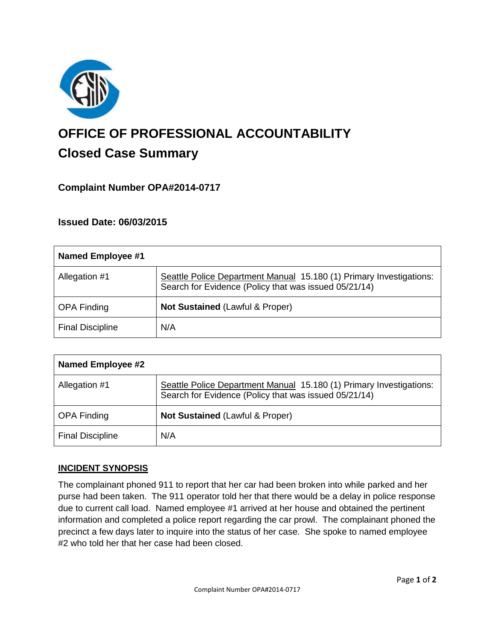

# **OFFICE OF PROFESSIONAL ACCOUNTABILITY Closed Case Summary**

## **Complaint Number OPA#2014-0717**

## **Issued Date: 06/03/2015**

| <b>Named Employee #1</b> |                                                                                                                              |
|--------------------------|------------------------------------------------------------------------------------------------------------------------------|
| Allegation #1            | Seattle Police Department Manual 15.180 (1) Primary Investigations:<br>Search for Evidence (Policy that was issued 05/21/14) |
| <b>OPA Finding</b>       | Not Sustained (Lawful & Proper)                                                                                              |
| <b>Final Discipline</b>  | N/A                                                                                                                          |

| <b>Named Employee #2</b> |                                                                                                                              |
|--------------------------|------------------------------------------------------------------------------------------------------------------------------|
| Allegation #1            | Seattle Police Department Manual 15.180 (1) Primary Investigations:<br>Search for Evidence (Policy that was issued 05/21/14) |
| <b>OPA Finding</b>       | <b>Not Sustained (Lawful &amp; Proper)</b>                                                                                   |
| <b>Final Discipline</b>  | N/A                                                                                                                          |

#### **INCIDENT SYNOPSIS**

The complainant phoned 911 to report that her car had been broken into while parked and her purse had been taken. The 911 operator told her that there would be a delay in police response due to current call load. Named employee #1 arrived at her house and obtained the pertinent information and completed a police report regarding the car prowl. The complainant phoned the precinct a few days later to inquire into the status of her case. She spoke to named employee #2 who told her that her case had been closed.